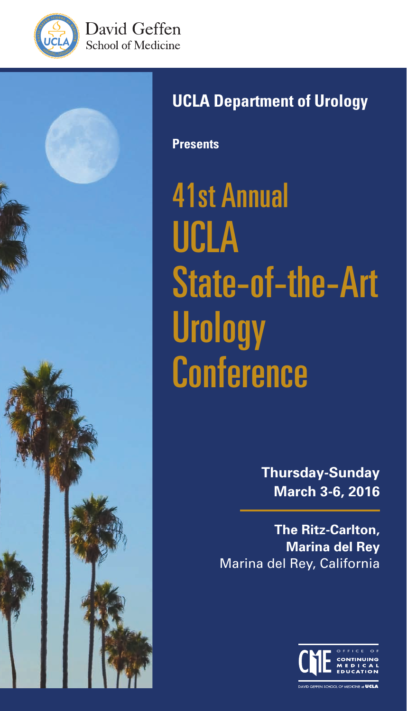





# **UCLA Department of Urology**

**Presents**

41st Annual UCLA State-of-the-Art **Urology Conference** 

> **Thursday-Sunday March 3-6, 2016**

**The Ritz-Carlton, Marina del Rey** Marina del Rey, California

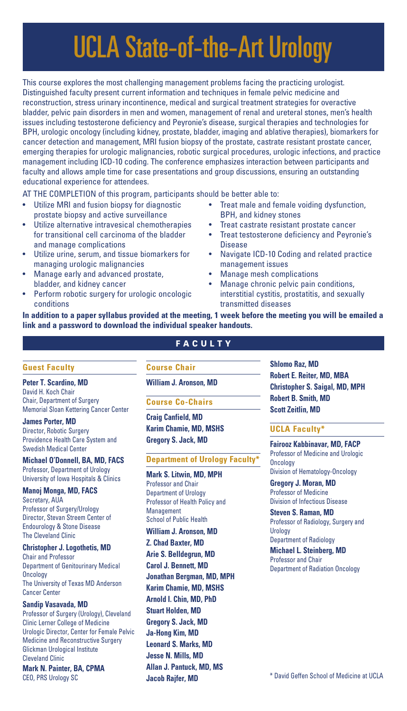# UCLA State-of-the-Art Urology

This course explores the most challenging management problems facing the practicing urologist. Distinguished faculty present current information and techniques in female pelvic medicine and reconstruction, stress urinary incontinence, medical and surgical treatment strategies for overactive bladder, pelvic pain disorders in men and women, management of renal and ureteral stones, men's health issues including testosterone deficiency and Peyronie's disease, surgical therapies and technologies for BPH, urologic oncology (including kidney, prostate, bladder, imaging and ablative therapies), biomarkers for cancer detection and management, MRI fusion biopsy of the prostate, castrate resistant prostate cancer, emerging therapies for urologic malignancies, robotic surgical procedures, urologic infections, and practice management including ICD-10 coding. The conference emphasizes interaction between participants and faculty and allows ample time for case presentations and group discussions, ensuring an outstanding educational experience for attendees.

AT THE COMPLETION of this program, participants should be better able to:

- Utilize MRI and fusion biopsy for diagnostic prostate biopsy and active surveillance
- Utilize alternative intravesical chemotherapies for transitional cell carcinoma of the bladder and manage complications
- Utilize urine, serum, and tissue biomarkers for managing urologic malignancies
- Manage early and advanced prostate, bladder, and kidney cancer
- Perform robotic surgery for urologic oncologic conditions
- Treat male and female voiding dysfunction, BPH, and kidney stones
- Treat castrate resistant prostate cancer
- Treat testosterone deficiency and Peyronie's **Disease**
- Navigate ICD-10 Coding and related practice management issues
- Manage mesh complications
- Manage chronic pelvic pain conditions, interstitial cystitis, prostatitis, and sexually transmitted diseases

**In addition to a paper syllabus provided at the meeting, 1 week before the meeting you will be emailed a link and a password to download the individual speaker handouts.**

#### **FACULTY**

#### **Guest Faculty**

**Peter T. Scardino, MD**  David H. Koch Chair Chair, Department of Surgery Memorial Sloan Kettering Cancer Center

**James Porter, MD** Director, Robotic Surgery Providence Health Care System and Swedish Medical Center

**Michael O'Donnell, BA, MD, FACS** Professor, Department of Urology University of Iowa Hospitals & Clinics

**Manoj Monga, MD, FACS** Secretary, AUA Professor of Surgery/Urology Director, Stevan Streem Center of Endourology & Stone Disease

#### **Christopher J. Logothetis, MD**

The Cleveland Clinic

Chair and Professor Department of Genitourinary Medical **Oncology** The University of Texas MD Anderson Cancer Center

#### **Sandip Vasavada, MD**

Professor of Surgery (Urology), Cleveland Clinic Lerner College of Medicine Urologic Director, Center for Female Pelvic Medicine and Reconstructive Surgery Glickman Urological Institute Cleveland Clinic **Mark N. Painter, BA, CPMA**

CEO, PRS Urology SC

#### **Course Chair**

**William J. Aronson, MD**

#### **Course Co-Chairs**

**Craig Canfield, MD Karim Chamie, MD, MSHS Gregory S. Jack, MD**

#### **Department of Urology Faculty\***

**Mark S. Litwin, MD, MPH** Professor and Chair Department of Urology Professor of Health Policy and Management School of Public Health

**William J. Aronson, MD Z. Chad Baxter, MD Arie S. Belldegrun, MD Carol J. Bennett, MD Jonathan Bergman, MD, MPH Karim Chamie, MD, MSHS Arnold I. Chin, MD, PhD Stuart Holden, MD Gregory S. Jack, MD Ja-Hong Kim, MD Leonard S. Marks, MD Jesse N. Mills, MD Allan J. Pantuck, MD, MS Jacob Rajfer, MD**

**Shlomo Raz, MD Robert E. Reiter, MD, MBA Christopher S. Saigal, MD, MPH Robert B. Smith, MD Scott Zeitlin, MD**

#### **UCLA Faculty\***

**Fairooz Kabbinavar, MD, FACP** Professor of Medicine and Urologic **Oncology** Division of Hematology-Oncology

**Gregory J. Moran, MD** Professor of Medicine Division of Infectious Disease

**Steven S. Raman, MD** Professor of Radiology, Surgery and Urology Department of Radiology

**Michael L. Steinberg, MD** Professor and Chair Department of Radiation Oncology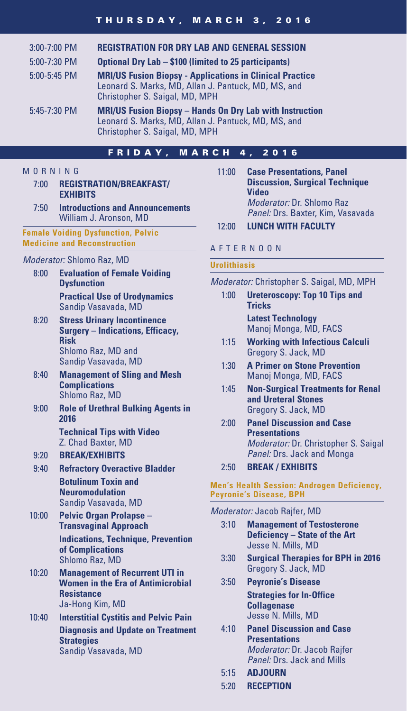#### THURSDAY, MARCH 3, 2016

| $3:00 - 7:00$ PM | <b>REGISTRATION FOR DRY LAB AND GENERAL SESSION</b>                                                                                                      |
|------------------|----------------------------------------------------------------------------------------------------------------------------------------------------------|
| 5:00-7:30 PM     | <b>Optional Dry Lab - \$100 (limited to 25 participants)</b>                                                                                             |
| 5:00-5:45 PM     | <b>MRI/US Fusion Biopsy - Applications in Clinical Practice</b><br>Leonard S. Marks, MD, Allan J. Pantuck, MD, MS, and<br>Christopher S. Saigal, MD, MPH |
| 5:45-7:30 PM     | <b>MRI/US Fusion Biopsy - Hands On Dry Lab with Instruction</b><br>Leonard S. Marks, MD, Allan J. Pantuck, MD, MS, and<br>Christopher S. Saigal, MD, MPH |

#### FRIDAY, MARCH 4, 2016

#### **MORNING**

- 7:00 **REGISTRATION/BREAKFAST/ EXHIBITS**
- 7:50 **Introductions and Announcements** William J. Aronson, MD

**Female Voiding Dysfunction, Pelvic Medicine and Reconstruction**

#### *Moderator:* Shlomo Raz, MD

- 8:00 **Evaluation of Female Voiding Dysfunction Practical Use of Urodynamics** Sandip Vasavada, MD
- 8:20 **Stress Urinary Incontinence Surgery – Indications, Efficacy, Risk** Shlomo Raz, MD and Sandip Vasavada, MD
- 8:40 **Management of Sling and Mesh Complications** Shlomo Raz, MD
- 9:00 **Role of Urethral Bulking Agents in 2016 Technical Tips with Video**

Z. Chad Baxter, MD

- 9:20 **BREAK/EXHIBITS**
- 9:40 **Refractory Overactive Bladder Botulinum Toxin and**

**Neuromodulation** Sandip Vasavada, MD

- 10:00 **Pelvic Organ Prolapse Transvaginal Approach Indications, Technique, Prevention of Complications** Shlomo Raz, MD
- 10:20 **Management of Recurrent UTI in Women in the Era of Antimicrobial Resistance** Ja-Hong Kim, MD
- 10:40 **Interstitial Cystitis and Pelvic Pain Diagnosis and Update on Treatment Strategies** Sandip Vasavada, MD
- 11:00 **Case Presentations, Panel Discussion, Surgical Technique Video** *Moderator:* Dr. Shlomo Raz *Panel:* Drs. Baxter, Kim, Vasavada
- 12:00 **LUNCH WITH FACULTY**

#### AFTERNOON

#### **Urolithiasis**

*Moderator:* Christopher S. Saigal, MD, MPH

- 1:00 **Ureteroscopy: Top 10 Tips and Tricks Latest Technology** Manoj Monga, MD, FACS
- 1:15 **Working with Infectious Calculi** Gregory S. Jack, MD
- 1:30 **A Primer on Stone Prevention** Manoj Monga, MD, FACS
- 1:45 **Non-Surgical Treatments for Renal and Ureteral Stones** Gregory S. Jack, MD
- 2:00 **Panel Discussion and Case Presentations** *Moderator:* Dr. Christopher S. Saigal *Panel:* Drs. Jack and Monga
- 2:50 **BREAK / EXHIBITS**

#### **Men's Health Session: Androgen Deficiency, Peyronie's Disease, BPH**

*Moderator:* Jacob Rajfer, MD

- 3:10 **Management of Testosterone Deficiency – State of the Art** Jesse N. Mills, MD
- 3:30 **Surgical Therapies for BPH in 2016** Gregory S. Jack, MD
- 3:50 **Peyronie's Disease Strategies for In-Office Collagenase** Jesse N. Mills, MD
- 4:10 **Panel Discussion and Case Presentations** *Moderator:* Dr. Jacob Rajfer *Panel:* Drs. Jack and Mills
- 5:15 **ADJOURN**
- 5:20 **RECEPTION**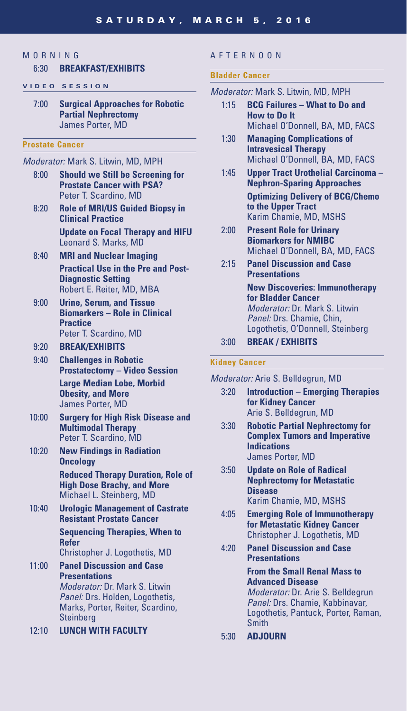### **MORNING**

#### 6:30 **BREAKFAST/EXHIBITS**

#### **VIDEO SESSION**

7:00 **Surgical Approaches for Robotic Partial Nephrectomy** James Porter, MD

#### **Prostate Cancer**

- *Moderator:* Mark S. Litwin, MD, MPH
	- 8:00 **Should we Still be Screening for Prostate Cancer with PSA?** Peter T. Scardino, MD
	- 8:20 **Role of MRI/US Guided Biopsy in Clinical Practice**

 **Update on Focal Therapy and HIFU** Leonard S. Marks, MD

- 8:40 **MRI and Nuclear Imaging Practical Use in the Pre and Post-Diagnostic Setting** Robert E. Reiter, MD, MBA
- 9:00 **Urine, Serum, and Tissue Biomarkers – Role in Clinical Practice** Peter T. Scardino, MD

#### 9:20 **BREAK/EXHIBITS**

- 9:40 **Challenges in Robotic Prostatectomy – Video Session Large Median Lobe, Morbid Obesity, and More** James Porter, MD
- 10:00 **Surgery for High Risk Disease and Multimodal Therapy** Peter T. Scardino, MD
- 10:20 **New Findings in Radiation Oncology Reduced Therapy Duration, Role of High Dose Brachy, and More** Michael L. Steinberg, MD
- 10:40 **Urologic Management of Castrate Resistant Prostate Cancer Sequencing Therapies, When to Refer**

Christopher J. Logothetis, MD

- 11:00 **Panel Discussion and Case Presentations** *Moderator:* Dr. Mark S. Litwin *Panel:* Drs. Holden, Logothetis, Marks, Porter, Reiter, Scardino, **Steinberg**
- 12:10 **LUNCH WITH FACULTY**

#### AFTERNOON

#### **Bladder Cancer**

- *Moderator:* Mark S. Litwin, MD, MPH
	- 1:15 **BCG Failures What to Do and How to Do It** Michael O'Donnell, BA, MD, FACS
	- 1:30 **Managing Complications of Intravesical Therapy** Michael O'Donnell, BA, MD, FACS
	- 1:45 **Upper Tract Urothelial Carcinoma Nephron-Sparing Approaches Optimizing Delivery of BCG/Chemo to the Upper Tract** Karim Chamie, MD, MSHS
	- 2:00 **Present Role for Urinary Biomarkers for NMIBC** Michael O'Donnell, BA, MD, FACS
	- 2:15 **Panel Discussion and Case Presentations New Discoveries: Immunotherapy for Bladder Cancer** *Moderator:* Dr. Mark S. Litwin *Panel:* Drs. Chamie, Chin, Logothetis, O'Donnell, Steinberg
	- 3:00 **BREAK / EXHIBITS**

#### **Kidney Cancer**

- *Moderator:* Arie S. Belldegrun, MD
	- 3:20 **Introduction Emerging Therapies for Kidney Cancer** Arie S. Belldegrun, MD
	- 3:30 **Robotic Partial Nephrectomy for Complex Tumors and Imperative Indications** James Porter, MD
	- 3:50 **Update on Role of Radical Nephrectomy for Metastatic Disease** Karim Chamie, MD, MSHS
	- 4:05 **Emerging Role of Immunotherapy for Metastatic Kidney Cancer** Christopher J. Logothetis, MD
	- 4:20 **Panel Discussion and Case Presentations**

 **From the Small Renal Mass to Advanced Disease** *Moderator:* Dr. Arie S. Belldegrun *Panel:* Drs. Chamie, Kabbinavar, Logothetis, Pantuck, Porter, Raman, **Smith** 

5:30 **ADJOURN**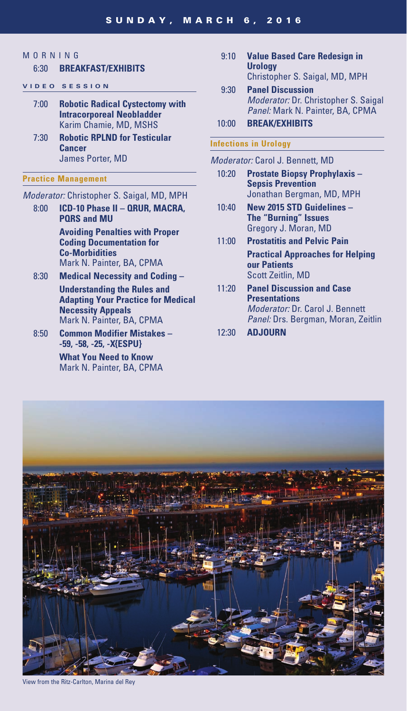## MORNING

#### 6:30 **BREAKFAST/EXHIBITS**

#### **V I D E O S E S S I O N**

- 7:00 **Robotic Radical Cystectomy with Intracorporeal Neobladder** Karim Chamie, MD, MSHS
- 7:30 **Robotic RPLND for Testicular Cancer**  James Porter, MD

#### **Practice Management**

- *Moderator:* Christopher S. Saigal, MD, MPH
	- 8:00 **ICD-10 Phase II QRUR, MACRA, PQRS and MU Avoiding Penalties with Proper Coding Documentation for**

**Co-Morbidities** Mark N. Painter, BA, CPMA

- 8:30 **Medical Necessity and Coding Understanding the Rules and Adapting Your Practice for Medical Necessity Appeals** Mark N. Painter, BA, CPMA
- 8:50 **Common Modifier Mistakes -59, -58, -25, -X{ESPU}**

 **What You Need to Know** Mark N. Painter, BA, CPMA

- 9:10 **Value Based Care Redesign in Urology** Christopher S. Saigal, MD, MPH
- 9:30 **Panel Discussion** *Moderator:* Dr. Christopher S. Saigal *Panel:* Mark N. Painter, BA, CPMA

10:00 **BREAK/EXHIBITS**

#### **Infections in Urology**

*Moderator:* Carol J. Bennett, MD

- 10:20 **Prostate Biopsy Prophylaxis Sepsis Prevention** Jonathan Bergman, MD, MPH
- 10:40 **New 2015 STD Guidelines The "Burning" Issues** Gregory J. Moran, MD
- 11:00 **Prostatitis and Pelvic Pain Practical Approaches for Helping our Patients** Scott Zeitlin, MD
- 11:20 **Panel Discussion and Case Presentations** *Moderator:* Dr. Carol J. Bennett *Panel:* Drs. Bergman, Moran, Zeitlin
- 12:30 **ADJOURN**



View from the Ritz-Carlton, Marina del Rey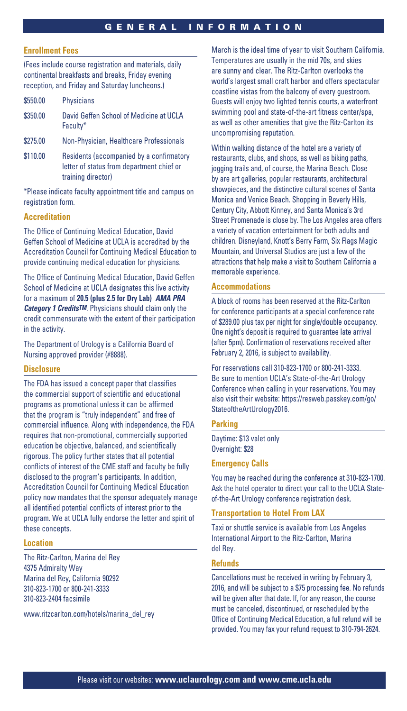#### **Enrollment Fees**

(Fees include course registration and materials, daily continental breakfasts and breaks, Friday evening reception, and Friday and Saturday luncheons.)

| \$550.00 | Physicians                                                                                                  |
|----------|-------------------------------------------------------------------------------------------------------------|
| \$350.00 | David Geffen School of Medicine at UCLA<br>Faculty*                                                         |
| \$275.00 | Non-Physician, Healthcare Professionals                                                                     |
| \$110.00 | Residents (accompanied by a confirmatory<br>letter of status from department chief or<br>training director) |

\*Please indicate faculty appointment title and campus on registration form.

#### **Accreditation**

The Office of Continuing Medical Education, David Geffen School of Medicine at UCLA is accredited by the Accreditation Council for Continuing Medical Education to provide continuing medical education for physicians.

The Office of Continuing Medical Education, David Geffen School of Medicine at UCLA designates this live activity for a maximum of **20.5 (plus 2.5 for Dry Lab)** *AMA PRA Category 1 CreditsTM.* Physicians should claim only the credit commensurate with the extent of their participation in the activity.

The Department of Urology is a California Board of Nursing approved provider (#8888).

#### **Disclosure**

The FDA has issued a concept paper that classifies the commercial support of scientific and educational programs as promotional unless it can be affirmed that the program is "truly independent" and free of commercial influence. Along with independence, the FDA requires that non-promotional, commercially supported education be objective, balanced, and scientifically rigorous. The policy further states that all potential conflicts of interest of the CME staff and faculty be fully disclosed to the program's participants. In addition, Accreditation Council for Continuing Medical Education policy now mandates that the sponsor adequately manage all identified potential conflicts of interest prior to the program. We at UCLA fully endorse the letter and spirit of these concepts.

#### **Location**

The Ritz-Carlton, Marina del Rey 4375 Admiralty Way Marina del Rey, California 90292 310-823-1700 or 800-241-3333 310-823-2404 facsimile

www.ritzcarlton.com/hotels/marina\_del\_rey

March is the ideal time of year to visit Southern California. Temperatures are usually in the mid 70s, and skies are sunny and clear. The Ritz-Carlton overlooks the world's largest small craft harbor and offers spectacular coastline vistas from the balcony of every guestroom. Guests will enjoy two lighted tennis courts, a waterfront swimming pool and state-of-the-art fitness center/spa, as well as other amenities that give the Ritz-Carlton its uncompromising reputation.

Within walking distance of the hotel are a variety of restaurants, clubs, and shops, as well as biking paths, jogging trails and, of course, the Marina Beach. Close by are art galleries, popular restaurants, architectural showpieces, and the distinctive cultural scenes of Santa Monica and Venice Beach. Shopping in Beverly Hills, Century City, Abbott Kinney, and Santa Monica's 3rd Street Promenade is close by. The Los Angeles area offers a variety of vacation entertainment for both adults and children. Disneyland, Knott's Berry Farm, Six Flags Magic Mountain, and Universal Studios are just a few of the attractions that help make a visit to Southern California a memorable experience.

#### **Accommodations**

A block of rooms has been reserved at the Ritz-Carlton for conference participants at a special conference rate of \$289.00 plus tax per night for single/double occupancy. One night's deposit is required to guarantee late arrival (after 5pm). Confirmation of reservations received after February 2, 2016, is subject to availability.

For reservations call 310-823-1700 or 800-241-3333. Be sure to mention UCLA's State-of-the-Art Urology Conference when calling in your reservations. You may also visit their website: https://resweb.passkey.com/go/ StateoftheArtUrology2016.

#### **Parking**

Daytime: \$13 valet only Overnight: \$28

#### **Emergency Calls**

You may be reached during the conference at 310-823-1700. Ask the hotel operator to direct your call to the UCLA Stateof-the-Art Urology conference registration desk.

#### **Transportation to Hotel From LAX**

Taxi or shuttle service is available from Los Angeles International Airport to the Ritz-Carlton, Marina del Rey.

#### **Refunds**

Cancellations must be received in writing by February 3, 2016, and will be subject to a \$75 processing fee. No refunds will be given after that date. If, for any reason, the course must be canceled, discontinued, or rescheduled by the Office of Continuing Medical Education, a full refund will be provided. You may fax your refund request to 310-794-2624.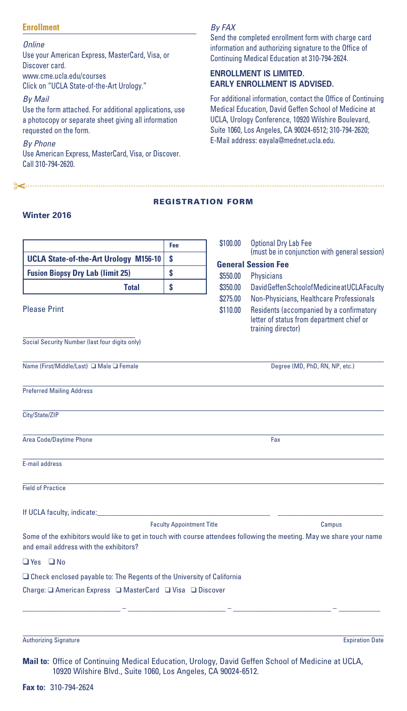#### **Enrollment**

*Online*

Use your American Express, MasterCard, Visa, or Discover card. www.cme.ucla.edu/courses Click on "UCLA State-of-the-Art Urology."

*By Mail*

Use the form attached. For additional applications, use a photocopy or separate sheet giving all information requested on the form.

*By Phone* Use American Express, MasterCard, Visa, or Discover. Call 310-794-2620.

"

#### *By FAX*

Send the completed enrollment form with charge card information and authorizing signature to the Office of Continuing Medical Education at 310-794-2624.

#### **ENROLLMENT IS LIMITED. EARLY ENROLLMENT IS ADVISED.**

For additional information, contact the Office of Continuing Medical Education, David Geffen School of Medicine at UCLA, Urology Conference, 10920 Wilshire Boulevard, Suite 1060, Los Angeles, CA 90024-6512; 310-794-2620; E-Mail address: eayala@mednet.ucla.edu.

#### REGISTRATION FORM

#### **Winter 2016**

|                                                                                                                                                                     | Fee                              | \$100.00             | <b>Optional Dry Lab Fee</b>                                                                                                                             |  |
|---------------------------------------------------------------------------------------------------------------------------------------------------------------------|----------------------------------|----------------------|---------------------------------------------------------------------------------------------------------------------------------------------------------|--|
| <b>UCLA State-of-the-Art Urology M156-10</b>                                                                                                                        | \$<br>\$<br>\$                   |                      | (must be in conjunction with general session)<br><b>General Session Fee</b>                                                                             |  |
| <b>Fusion Biopsy Dry Lab (limit 25)</b>                                                                                                                             |                                  | \$550.00<br>\$350.00 | <b>Physicians</b><br>David Geffen School of Medicine at UCLA Faculty                                                                                    |  |
| <b>Total</b>                                                                                                                                                        |                                  |                      |                                                                                                                                                         |  |
| <b>Please Print</b>                                                                                                                                                 |                                  | \$275.00<br>\$110.00 | Non-Physicians, Healthcare Professionals<br>Residents (accompanied by a confirmatory<br>letter of status from department chief or<br>training director) |  |
| Social Security Number (last four digits only)                                                                                                                      |                                  |                      |                                                                                                                                                         |  |
| Name (First/Middle/Last) □ Male □ Female                                                                                                                            |                                  |                      | Degree (MD, PhD, RN, NP, etc.)                                                                                                                          |  |
| <b>Preferred Mailing Address</b>                                                                                                                                    |                                  |                      |                                                                                                                                                         |  |
| City/State/ZIP                                                                                                                                                      |                                  |                      |                                                                                                                                                         |  |
| Area Code/Daytime Phone                                                                                                                                             |                                  |                      | Fax                                                                                                                                                     |  |
| E-mail address                                                                                                                                                      |                                  |                      |                                                                                                                                                         |  |
| <b>Field of Practice</b>                                                                                                                                            |                                  |                      |                                                                                                                                                         |  |
| If UCLA faculty, indicate:                                                                                                                                          |                                  |                      |                                                                                                                                                         |  |
|                                                                                                                                                                     | <b>Faculty Appointment Title</b> |                      | Campus                                                                                                                                                  |  |
| Some of the exhibitors would like to get in touch with course attendees following the meeting. May we share your name<br>and email address with the exhibitors?     |                                  |                      |                                                                                                                                                         |  |
| $\Box$ Yes $\Box$ No                                                                                                                                                |                                  |                      |                                                                                                                                                         |  |
| $\Box$ Check enclosed payable to: The Regents of the University of California                                                                                       |                                  |                      |                                                                                                                                                         |  |
|                                                                                                                                                                     |                                  |                      |                                                                                                                                                         |  |
|                                                                                                                                                                     |                                  |                      |                                                                                                                                                         |  |
| <b>Authorizing Signature</b>                                                                                                                                        |                                  |                      | <b>Expiration Date</b>                                                                                                                                  |  |
| Mail to: Office of Continuing Medical Education, Urology, David Geffen School of Medicine at UCLA,<br>10920 Wilshire Blvd., Suite 1060, Los Angeles, CA 90024-6512. |                                  |                      |                                                                                                                                                         |  |